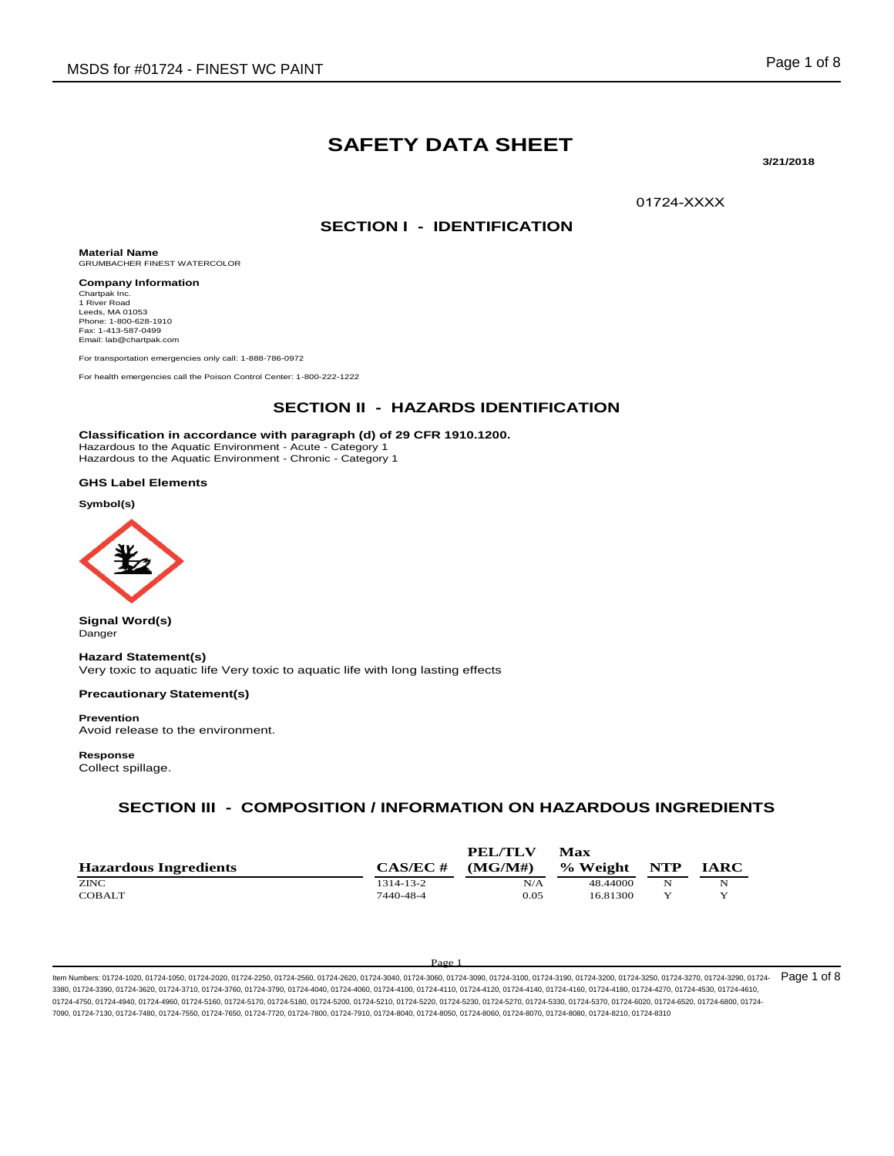# **SAFETY DATA SHEET**

**3/21/2018** 

01724-XXXX

### **SECTION I - IDENTIFICATION**

**Material Name** GRUMBACHER FINEST WATERCOLOR

**Company Information** Chartpak Inc. 1 River Road Leeds, MA 01053 Phone: 1-800-628-1910 Fax: 1-413-587-0499 Email: lab@chartpak.com

For transportation emergencies only call: 1-888-786-0972

For health emergencies call the Poison Control Center: 1-800-222-1222

## **SECTION II - HAZARDS IDENTIFICATION**

**Classification in accordance with paragraph (d) of 29 CFR 1910.1200.**

Hazardous to the Aquatic Environment - Acute - Category 1 Hazardous to the Aquatic Environment - Chronic - Category 1

### **GHS Label Elements**

**Symbol(s)**



**Signal Word(s)** Danger

**Hazard Statement(s)**

Very toxic to aquatic life Very toxic to aquatic life with long lasting effects

#### **Precautionary Statement(s)**

**Prevention** Avoid release to the environment.

**Response**

Collect spillage.

## **SECTION III - COMPOSITION / INFORMATION ON HAZARDOUS INGREDIENTS**

| <b>Hazardous Ingredients</b> | $CAS/EC \#$ | <b>PEL/TLV</b><br>(MG/M#) | Max<br>% Weight | NTP | <b>IARC</b> |
|------------------------------|-------------|---------------------------|-----------------|-----|-------------|
| <b>ZINC</b>                  | 1314-13-2   | N/A                       | 48.44000        | N   | N           |
| <b>COBALT</b>                | 7440-48-4   | 0.05                      | 16.81300        | v   |             |

#### Pag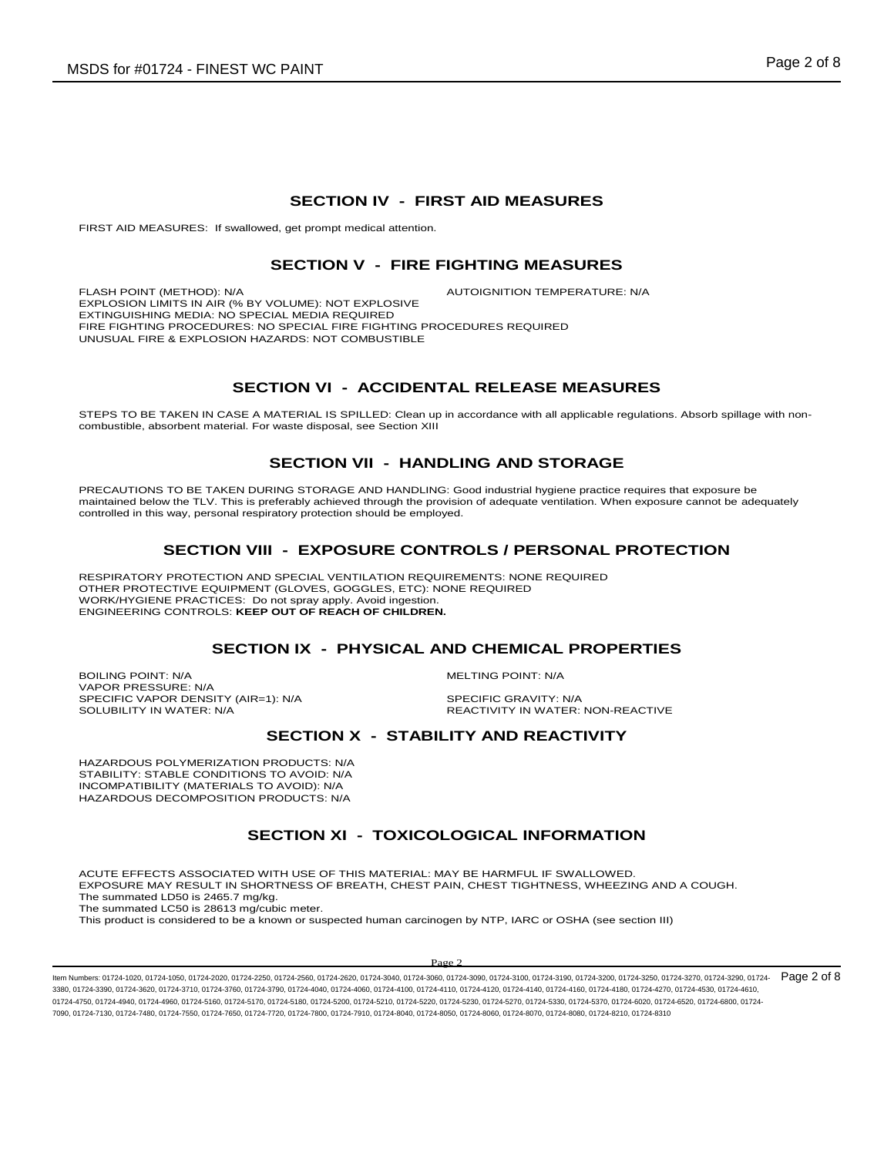### **SECTION IV - FIRST AID MEASURES**

FIRST AID MEASURES: If swallowed, get prompt medical attention.

### **SECTION V - FIRE FIGHTING MEASURES**

FLASH POINT (METHOD): N/A  $\overline{A}$  autoignition temperature: N/A EXPLOSION LIMITS IN AIR (% BY VOLUME): NOT EXPLOSIVE EXTINGUISHING MEDIA: NO SPECIAL MEDIA REQUIRED FIRE FIGHTING PROCEDURES: NO SPECIAL FIRE FIGHTING PROCEDURES REQUIRED UNUSUAL FIRE & EXPLOSION HAZARDS: NOT COMBUSTIBLE

## **SECTION VI - ACCIDENTAL RELEASE MEASURES**

STEPS TO BE TAKEN IN CASE A MATERIAL IS SPILLED: Clean up in accordance with all applicable regulations. Absorb spillage with noncombustible, absorbent material. For waste disposal, see Section XIII

## **SECTION VII - HANDLING AND STORAGE**

PRECAUTIONS TO BE TAKEN DURING STORAGE AND HANDLING: Good industrial hygiene practice requires that exposure be maintained below the TLV. This is preferably achieved through the provision of adequate ventilation. When exposure cannot be adequately controlled in this way, personal respiratory protection should be employed.

## **SECTION VIII - EXPOSURE CONTROLS / PERSONAL PROTECTION**

RESPIRATORY PROTECTION AND SPECIAL VENTILATION REQUIREMENTS: NONE REQUIRED OTHER PROTECTIVE EQUIPMENT (GLOVES, GOGGLES, ETC): NONE REQUIRED WORK/HYGIENE PRACTICES: Do not spray apply. Avoid ingestion. ENGINEERING CONTROLS: **KEEP OUT OF REACH OF CHILDREN.**

### **SECTION IX - PHYSICAL AND CHEMICAL PROPERTIES**

BOILING POINT: N/A GOILING POINT: N/A VAPOR PRESSURE: N/A SPECIFIC VAPOR DENSITY (AIR=1): N/A SPECIFIC GRAVITY: N/A

SOLUBILITY IN WATER: N/A **REACTIVITY IN WATER: NON-REACTIVE** 

## **SECTION X - STABILITY AND REACTIVITY**

HAZARDOUS POLYMERIZATION PRODUCTS: N/A STABILITY: STABLE CONDITIONS TO AVOID: N/A INCOMPATIBILITY (MATERIALS TO AVOID): N/A HAZARDOUS DECOMPOSITION PRODUCTS: N/A

## **SECTION XI - TOXICOLOGICAL INFORMATION**

ACUTE EFFECTS ASSOCIATED WITH USE OF THIS MATERIAL: MAY BE HARMFUL IF SWALLOWED. EXPOSURE MAY RESULT IN SHORTNESS OF BREATH, CHEST PAIN, CHEST TIGHTNESS, WHEEZING AND A COUGH. The summated LD50 is 2465.7 mg/kg. The summated LC50 is 28613 mg/cubic meter.

This product is considered to be a known or suspected human carcinogen by NTP, IARC or OSHA (see section III)

#### Pag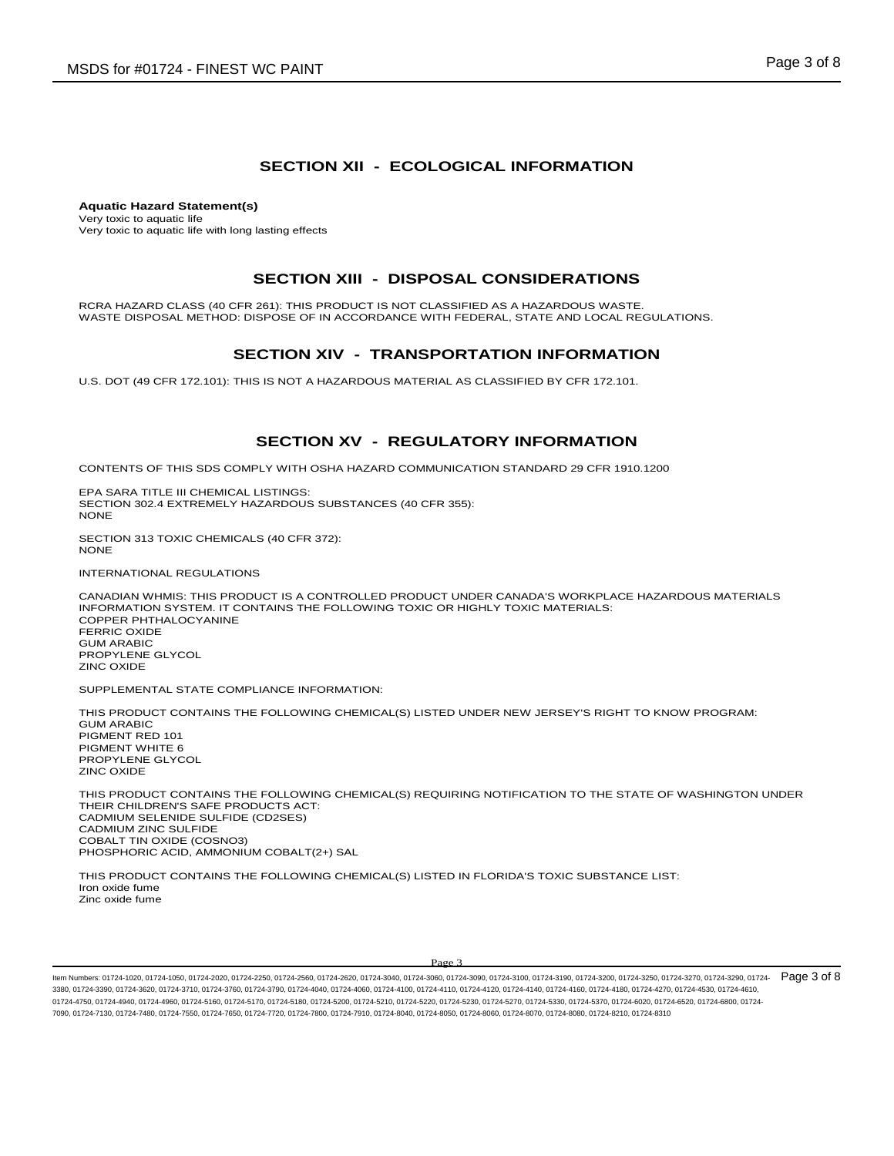## **SECTION XII - ECOLOGICAL INFORMATION**

**Aquatic Hazard Statement(s)** Very toxic to aquatic life Very toxic to aquatic life with long lasting effects

### **SECTION XIII - DISPOSAL CONSIDERATIONS**

RCRA HAZARD CLASS (40 CFR 261): THIS PRODUCT IS NOT CLASSIFIED AS A HAZARDOUS WASTE. WASTE DISPOSAL METHOD: DISPOSE OF IN ACCORDANCE WITH FEDERAL, STATE AND LOCAL REGULATIONS.

## **SECTION XIV - TRANSPORTATION INFORMATION**

U.S. DOT (49 CFR 172.101): THIS IS NOT A HAZARDOUS MATERIAL AS CLASSIFIED BY CFR 172.101.

## **SECTION XV - REGULATORY INFORMATION**

CONTENTS OF THIS SDS COMPLY WITH OSHA HAZARD COMMUNICATION STANDARD 29 CFR 1910.1200

EPA SARA TITLE III CHEMICAL LISTINGS: SECTION 302.4 EXTREMELY HAZARDOUS SUBSTANCES (40 CFR 355): NONE

SECTION 313 TOXIC CHEMICALS (40 CFR 372): NONE

INTERNATIONAL REGULATIONS

CANADIAN WHMIS: THIS PRODUCT IS A CONTROLLED PRODUCT UNDER CANADA'S WORKPLACE HAZARDOUS MATERIALS INFORMATION SYSTEM. IT CONTAINS THE FOLLOWING TOXIC OR HIGHLY TOXIC MATERIALS: COPPER PHTHALOCYANINE FERRIC OXIDE GUM ARABIC PROPYLENE GLYCOL ZINC OXIDE

SUPPLEMENTAL STATE COMPLIANCE INFORMATION:

THIS PRODUCT CONTAINS THE FOLLOWING CHEMICAL(S) LISTED UNDER NEW JERSEY'S RIGHT TO KNOW PROGRAM:

GUM ARABIC PIGMENT RED 101 PIGMENT WHITE 6 PROPYLENE GLYCOL ZINC OXIDE

THIS PRODUCT CONTAINS THE FOLLOWING CHEMICAL(S) REQUIRING NOTIFICATION TO THE STATE OF WASHINGTON UNDER THEIR CHILDREN'S SAFE PRODUCTS ACT: CADMIUM SELENIDE SULFIDE (CD2SES) CADMIUM ZINC SULFIDE COBALT TIN OXIDE (COSNO3) PHOSPHORIC ACID, AMMONIUM COBALT(2+) SAL

THIS PRODUCT CONTAINS THE FOLLOWING CHEMICAL(S) LISTED IN FLORIDA'S TOXIC SUBSTANCE LIST: Iron oxide fume Zinc oxide fume

#### Page 3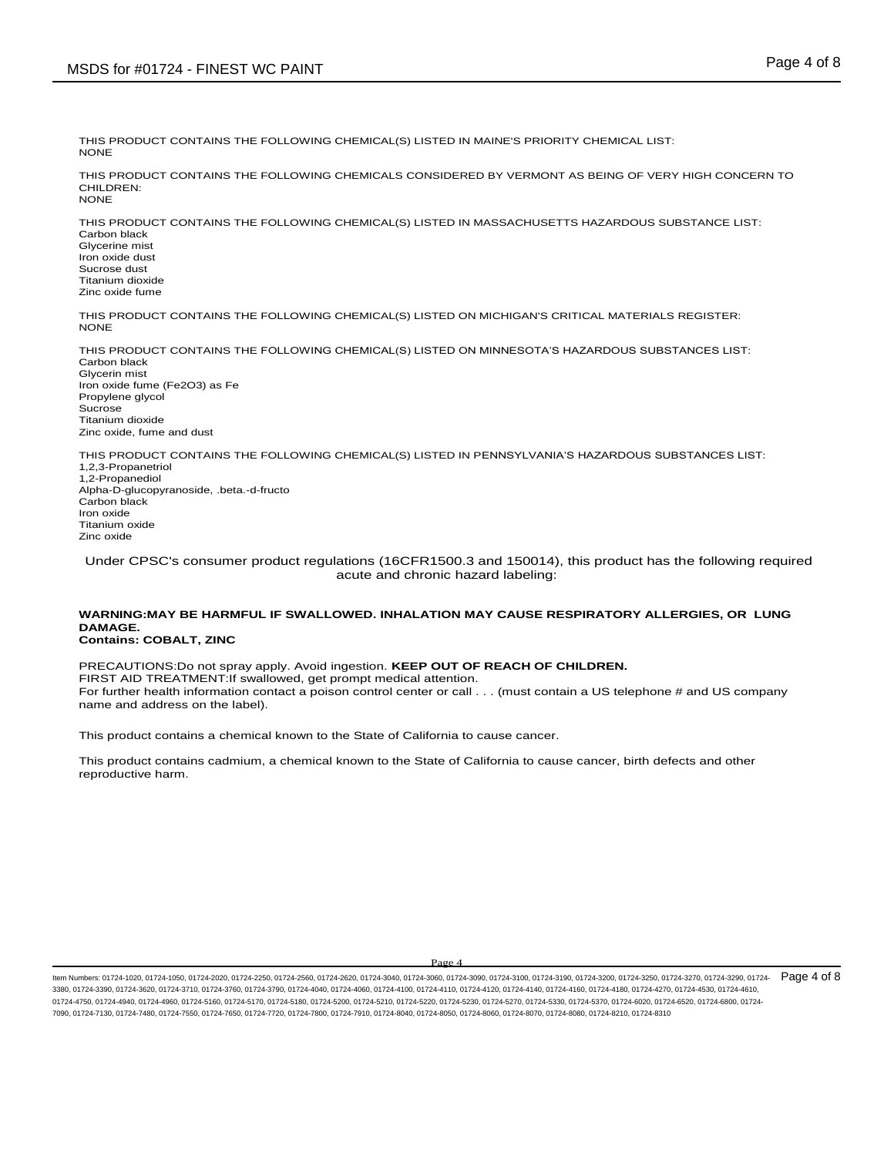THIS PRODUCT CONTAINS THE FOLLOWING CHEMICAL(S) LISTED IN MAINE'S PRIORITY CHEMICAL LIST: **NONE** 

THIS PRODUCT CONTAINS THE FOLLOWING CHEMICALS CONSIDERED BY VERMONT AS BEING OF VERY HIGH CONCERN TO CHILDREN: **NONE** 

THIS PRODUCT CONTAINS THE FOLLOWING CHEMICAL(S) LISTED IN MASSACHUSETTS HAZARDOUS SUBSTANCE LIST: Carbon black Glycerine mist Iron oxide dust

Sucrose dust Titanium dioxide Zinc oxide fume

THIS PRODUCT CONTAINS THE FOLLOWING CHEMICAL(S) LISTED ON MICHIGAN'S CRITICAL MATERIALS REGISTER: NONE

THIS PRODUCT CONTAINS THE FOLLOWING CHEMICAL(S) LISTED ON MINNESOTA'S HAZARDOUS SUBSTANCES LIST: Carbon black Glycerin mist Iron oxide fume (Fe2O3) as Fe Propylene glycol Sucrose Titanium dioxide Zinc oxide, fume and dust

THIS PRODUCT CONTAINS THE FOLLOWING CHEMICAL(S) LISTED IN PENNSYLVANIA'S HAZARDOUS SUBSTANCES LIST: 1,2,3-Propanetriol 1,2-Propanediol Alpha-D-glucopyranoside, .beta.-d-fructo Carbon black Iron oxide Titanium oxide Zinc oxide

Under CPSC's consumer product regulations (16CFR1500.3 and 150014), this product has the following required acute and chronic hazard labeling:

#### **WARNING:MAY BE HARMFUL IF SWALLOWED. INHALATION MAY CAUSE RESPIRATORY ALLERGIES, OR LUNG DAMAGE. Contains: COBALT, ZINC**

PRECAUTIONS:Do not spray apply. Avoid ingestion. **KEEP OUT OF REACH OF CHILDREN.**  FIRST AID TREATMENT:If swallowed, get prompt medical attention. For further health information contact a poison control center or call . . . (must contain a US telephone # and US company name and address on the label).

This product contains a chemical known to the State of California to cause cancer.

This product contains cadmium, a chemical known to the State of California to cause cancer, birth defects and other reproductive harm.

Page 4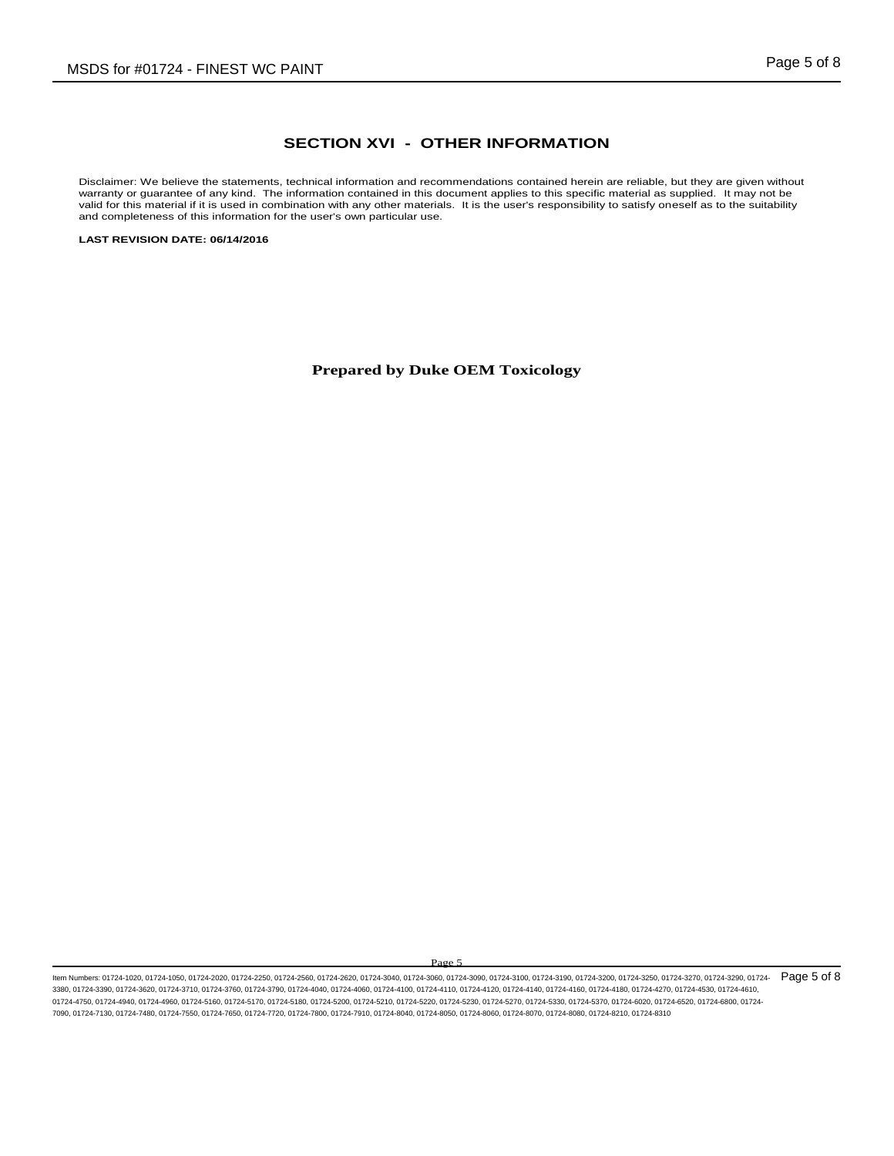## **SECTION XVI - OTHER INFORMATION**

Disclaimer: We believe the statements, technical information and recommendations contained herein are reliable, but they are given without warranty or guarantee of any kind. The information contained in this document applies to this specific material as supplied. It may not be valid for this material if it is used in combination with any other materials. It is the user's responsibility to satisfy oneself as to the suitability and completeness of this information for the user's own particular use.

**LAST REVISION DATE: 06/14/2016**

**Prepared by Duke OEM Toxicology**

Page 5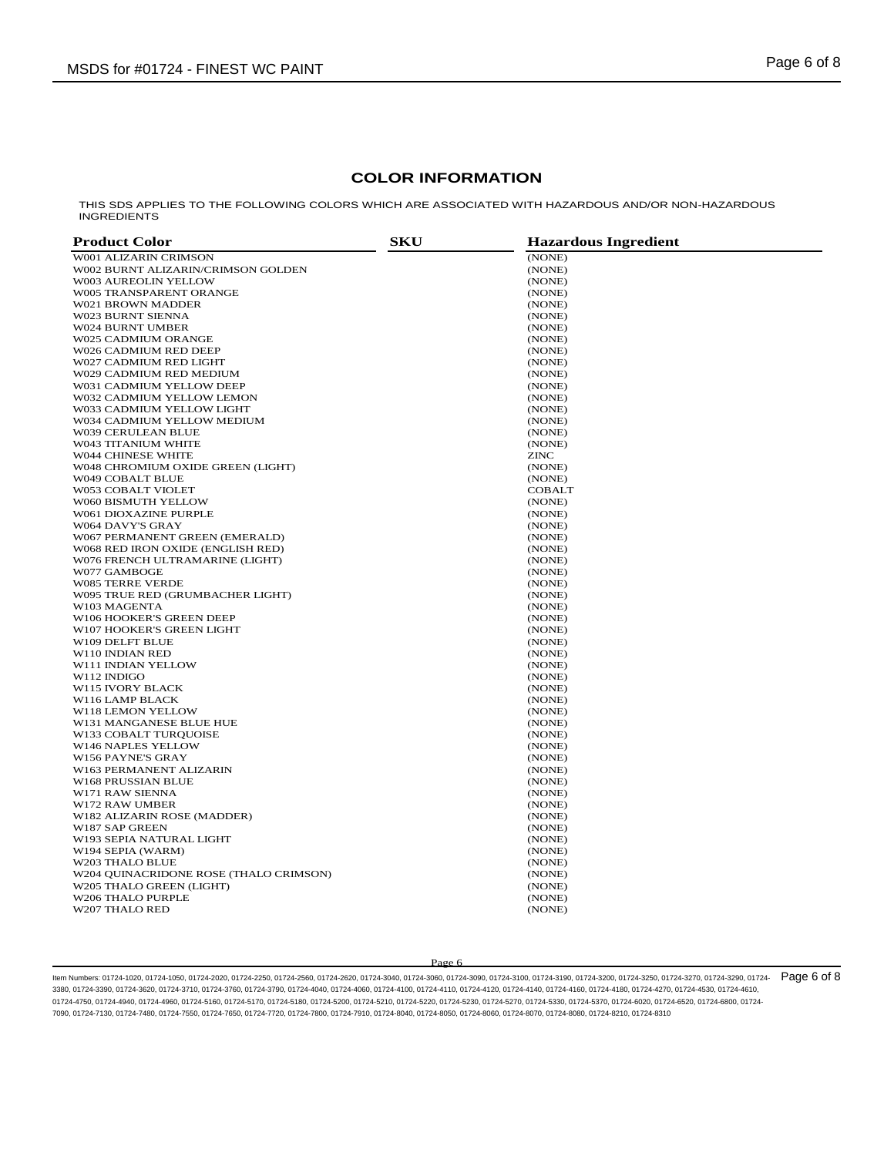## **COLOR INFORMATION**

THIS SDS APPLIES TO THE FOLLOWING COLORS WHICH ARE ASSOCIATED WITH HAZARDOUS AND/OR NON-HAZARDOUS INGREDIENTS

| <b>Product Color</b>                   | <b>SKU</b> | <b>Hazardous Ingredient</b> |
|----------------------------------------|------------|-----------------------------|
| W001 ALIZARIN CRIMSON                  |            | (NONE)                      |
| W002 BURNT ALIZARIN/CRIMSON GOLDEN     |            | (NONE)                      |
| W003 AUREOLIN YELLOW                   |            | (NONE)                      |
| W005 TRANSPARENT ORANGE                |            | (NONE)                      |
| W021 BROWN MADDER                      |            | (NONE)                      |
| <b>W023 BURNT SIENNA</b>               |            | (NONE)                      |
| W024 BURNT UMBER                       |            | (NONE)                      |
| W025 CADMIUM ORANGE                    |            | (NONE)                      |
| W026 CADMIUM RED DEEP                  |            | (NONE)                      |
| W027 CADMIUM RED LIGHT                 |            | (NONE)                      |
| W029 CADMIUM RED MEDIUM                |            | (NONE)                      |
| W031 CADMIUM YELLOW DEEP               |            | (NONE)                      |
| W032 CADMIUM YELLOW LEMON              |            | (NONE)                      |
| W033 CADMIUM YELLOW LIGHT              |            | (NONE)                      |
| W034 CADMIUM YELLOW MEDIUM             |            | (NONE)                      |
| W039 CERULEAN BLUE                     |            | (NONE)                      |
| W043 TITANIUM WHITE                    |            | (NONE)                      |
| W044 CHINESE WHITE                     |            | ZINC                        |
| W048 CHROMIUM OXIDE GREEN (LIGHT)      |            | (NONE)                      |
| W049 COBALT BLUE                       |            | (NONE)                      |
| W053 COBALT VIOLET                     |            | COBALT                      |
| W060 BISMUTH YELLOW                    |            | (NONE)                      |
| W061 DIOXAZINE PURPLE                  |            | (NONE)                      |
| W064 DAVY'S GRAY                       |            | (NONE)                      |
| W067 PERMANENT GREEN (EMERALD)         |            | (NONE)                      |
| W068 RED IRON OXIDE (ENGLISH RED)      |            | (NONE)                      |
| W076 FRENCH ULTRAMARINE (LIGHT)        |            | (NONE)                      |
| W077 GAMBOGE                           |            | (NONE)                      |
| W085 TERRE VERDE                       |            | (NONE)                      |
| W095 TRUE RED (GRUMBACHER LIGHT)       |            | (NONE)                      |
| W103 MAGENTA                           |            | (NONE)                      |
| W106 HOOKER'S GREEN DEEP               |            | (NONE)                      |
| W107 HOOKER'S GREEN LIGHT              |            | (NONE)                      |
| W109 DELFT BLUE                        |            | (NONE)                      |
| W110 INDIAN RED                        |            | (NONE)                      |
| W111 INDIAN YELLOW                     |            | (NONE)                      |
| W112 INDIGO                            |            | (NONE)                      |
| <b>W115 IVORY BLACK</b>                |            | (NONE)                      |
| W116 LAMP BLACK                        |            | (NONE)                      |
| W118 LEMON YELLOW                      |            | (NONE)                      |
| W131 MANGANESE BLUE HUE                |            | (NONE)                      |
| W133 COBALT TURQUOISE                  |            | (NONE)                      |
| W146 NAPLES YELLOW                     |            | (NONE)                      |
| W156 PAYNE'S GRAY                      |            | (NONE)                      |
| W163 PERMANENT ALIZARIN                |            | (NONE)                      |
| W168 PRUSSIAN BLUE                     |            | (NONE)                      |
| W171 RAW SIENNA                        |            | (NONE)                      |
| <b>W172 RAW UMBER</b>                  |            | (NONE)                      |
| W182 ALIZARIN ROSE (MADDER)            |            | (NONE)                      |
| W187 SAP GREEN                         |            | (NONE)                      |
| W193 SEPIA NATURAL LIGHT               |            | (NONE)                      |
| W194 SEPIA (WARM)                      |            | (NONE)                      |
| W203 THALO BLUE                        |            | (NONE)                      |
| W204 QUINACRIDONE ROSE (THALO CRIMSON) |            | (NONE)                      |
| W205 THALO GREEN (LIGHT)               |            |                             |
| W206 THALO PURPLE                      |            | (NONE)                      |
| W207 THALO RED                         |            | (NONE)                      |
|                                        |            | (NONE)                      |

#### Page 6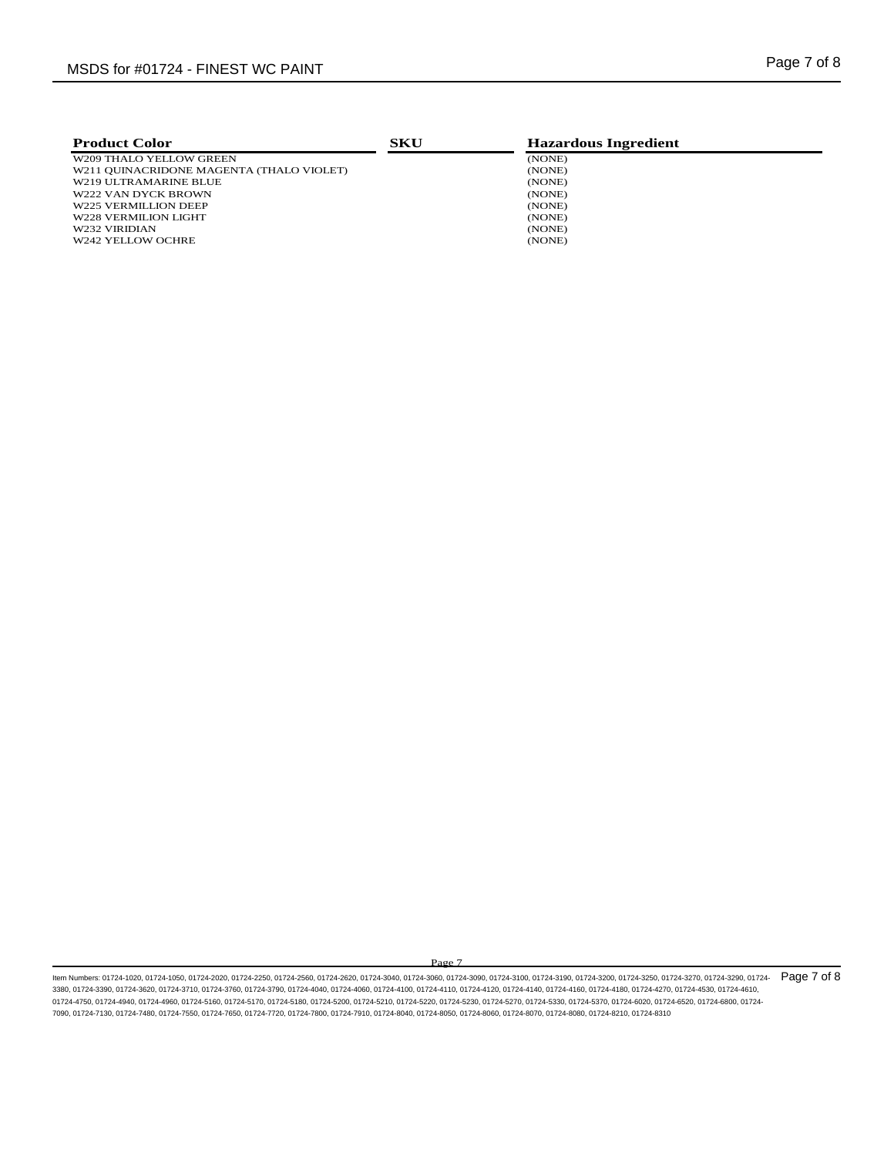| <b>Product Color</b>                     | SKU | <b>Hazardous Ingredient</b> |  |
|------------------------------------------|-----|-----------------------------|--|
| W209 THALO YELLOW GREEN                  |     | (NONE)                      |  |
| W211 OUINACRIDONE MAGENTA (THALO VIOLET) |     | (NONE)                      |  |
| W219 ULTRAMARINE BLUE                    |     | (NONE)                      |  |
| W222 VAN DYCK BROWN                      |     | (NONE)                      |  |
| W225 VERMILLION DEEP                     |     | (NONE)                      |  |
| W228 VERMILION LIGHT                     |     | (NONE)                      |  |
| W232 VIRIDIAN                            |     | (NONE)                      |  |
| W242 YELLOW OCHRE                        |     | (NONE)                      |  |
|                                          |     |                             |  |

Page 7